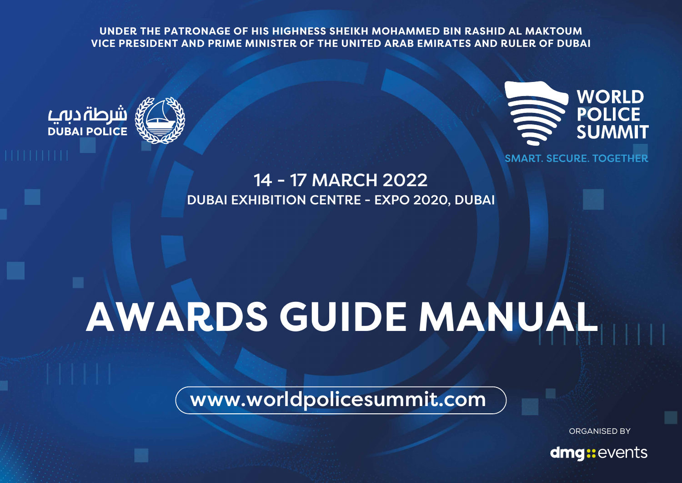**UNDER THE PATRONAGE OF HIS HIGHNESS SHEIKH MOHAMMED BIN RASHID AL MAKTOUM VICE PRESIDENT AND PRIME MINISTER OF THE UNITED ARAB EMIRATES AND RULER OF DUBAI**





14 - 17 MARCH 2022 DUBAI EXHIBITION CENTRE - EXPO 2020, DUBAI

### **AWARDS GUIDE MANUAL**

www.worldpolicesummit.com

ORGANISED BY

dmg::events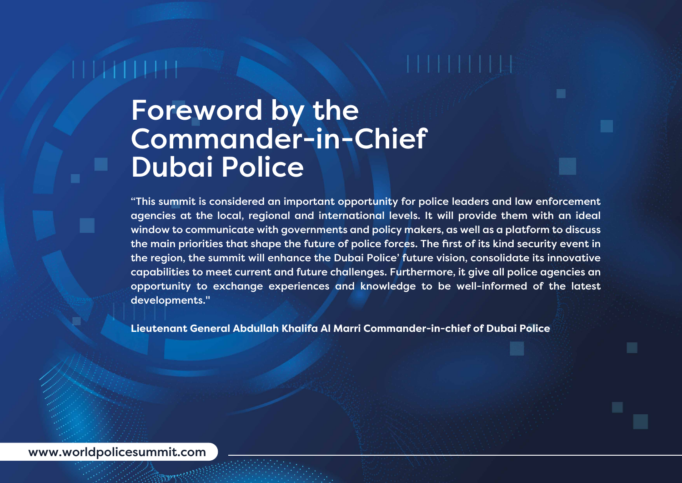#### Foreword by the Commander-in-Chief Dubai Police

"This summit is considered an important opportunity for police leaders and law enforcement agencies at the local, regional and international levels. It will provide them with an ideal window to communicate with governments and policy makers, as well as a platform to discuss the main priorities that shape the future of police forces. The first of its kind security event in the region, the summit will enhance the Dubai Police' future vision, consolidate its innovative capabilities to meet current and future challenges. Furthermore, it give all police agencies an opportunity to exchange experiences and knowledge to be well-informed of the latest developments."

**Lieutenant General Abdullah Khalifa Al Marri Commander-in-chief of Dubai Police**

www.worldpolicesummit.com

**Romer Miller**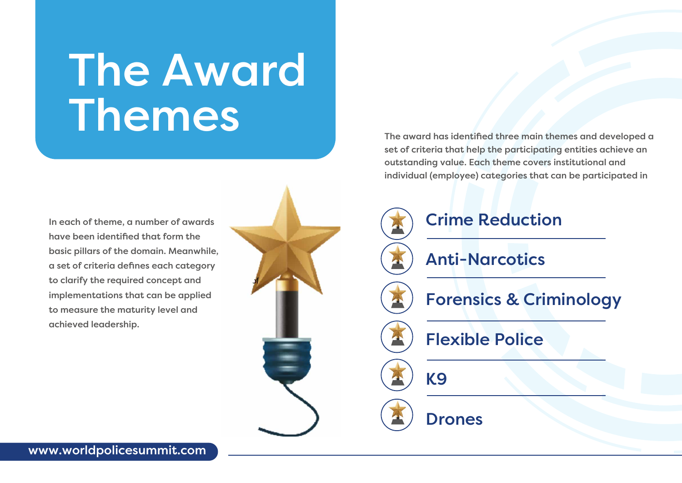## The Award Themes

In each of theme, a number of awards have been identified that form the basic pillars of the domain. Meanwhile, a set of criteria defines each category to clarify the required concept and implementations that can be applied to measure the maturity level and achieved leadership.

The award has identified three main themes and developed a set of criteria that help the participating entities achieve an outstanding value. Each theme covers institutional and individual (employee) categories that can be participated in

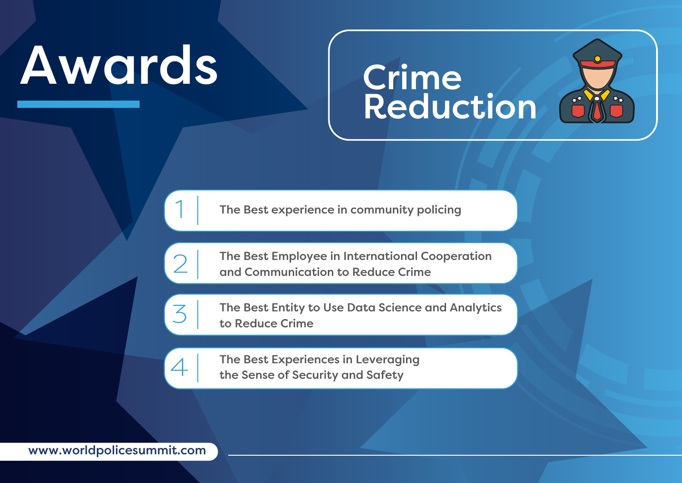# **Crime**<br>Reduction



The Best experience in community policing

2

1

The Best Employee in International Cooperation and Communication to Reduce Crime



4

The Best Entity to Use Data Science and Analytics to Reduce Crime

The Best Experiences in Leveraging the Sense of Security and Safety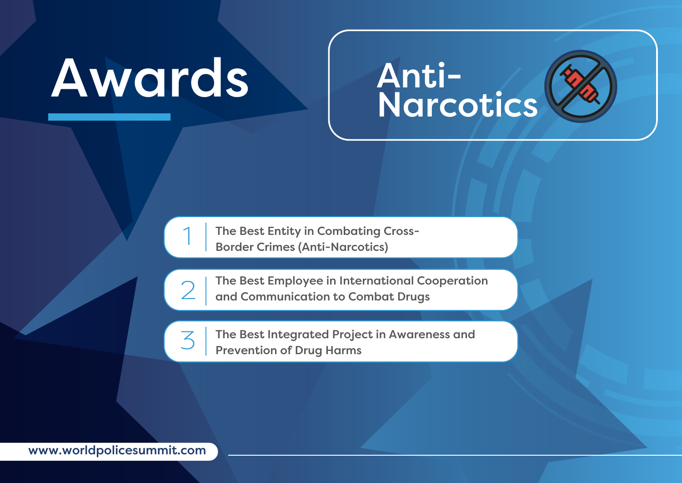#### Anti-Narcotics

The Best Entity in Combating Cross-Border Crimes (Anti-Narcotics)



3

1

The Best Employee in International Cooperation and Communication to Combat Drugs

The Best Integrated Project in Awareness and Prevention of Drug Harms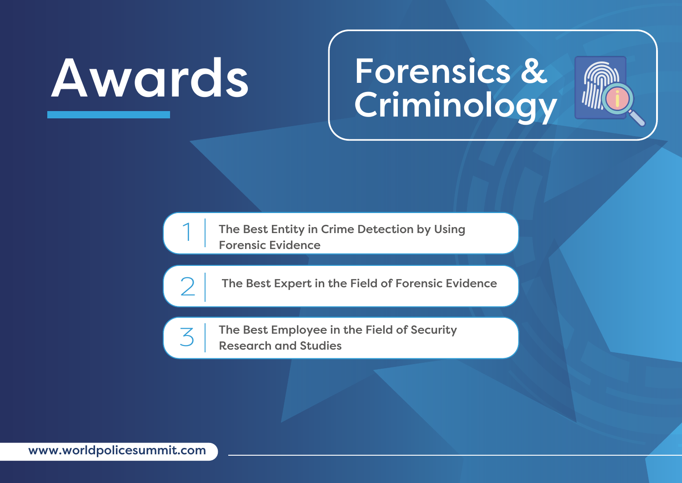#### Forensics & **Criminology**



The Best Entity in Crime Detection by Using Forensic Evidence

 $\mathcal{D}$ 

3

1

The Best Expert in the Field of Forensic Evidence

The Best Employee in the Field of Security Research and Studies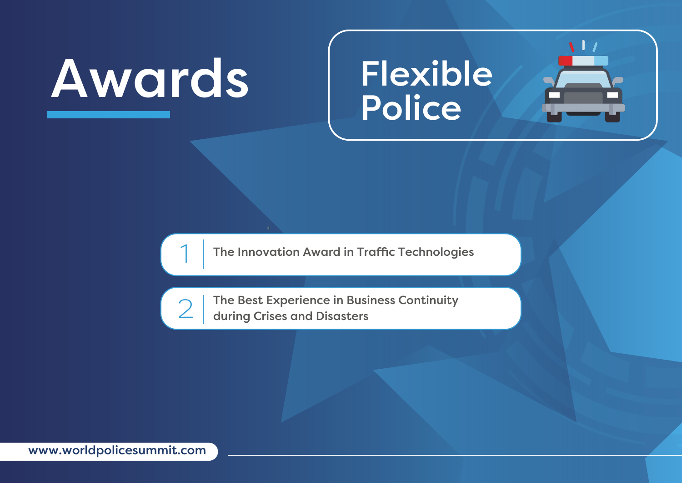### Flexible **Police**

 $\bf{1}$ 



The Innovation Award in Traffic Technologies



The Best Experience in Business Continuity during Crises and Disasters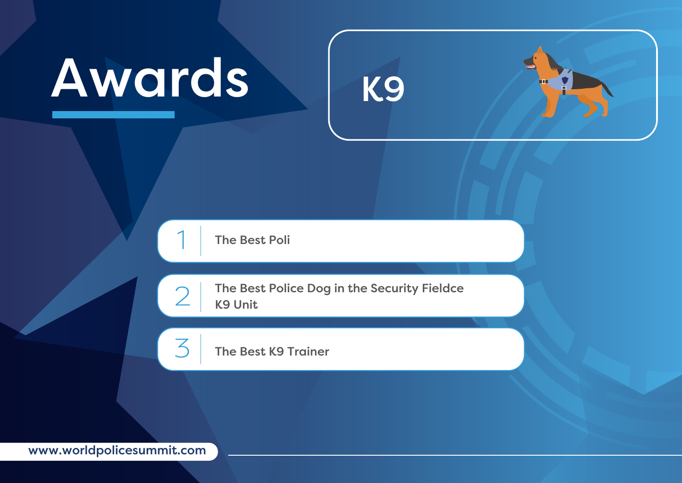



1

2

3

The Best Police Dog in the Security Fieldce K9 Unit

The Best K9 Trainer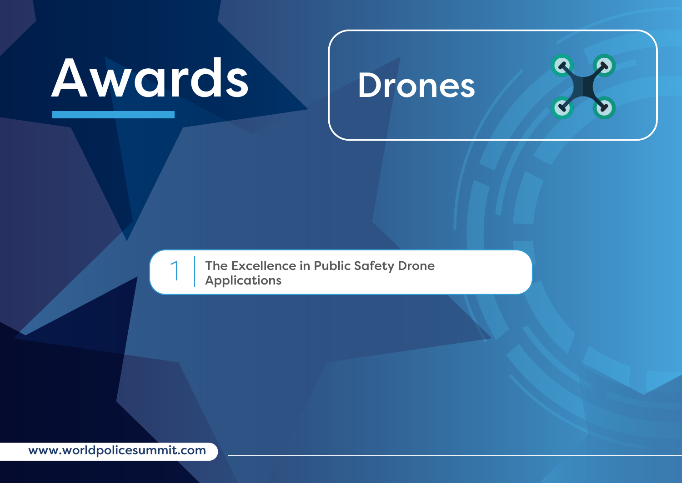#### Drones

The Excellence in Public Safety Drone<br>Applications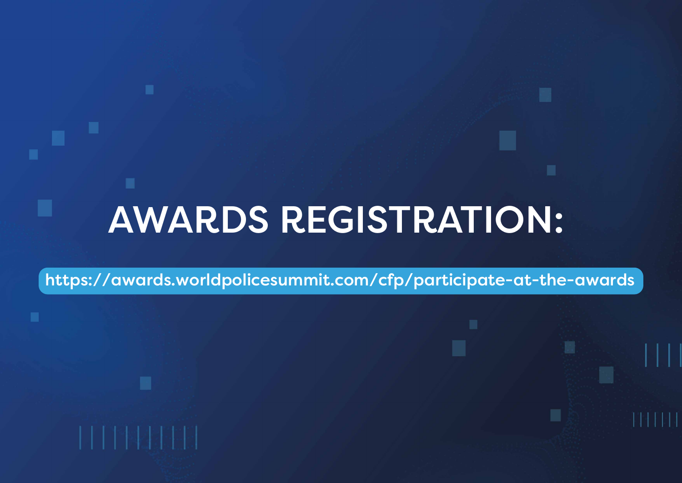### AWARDS REGISTRATION:

https://awards.worldpolicesummit.com/cfp/participate-at-the-awards